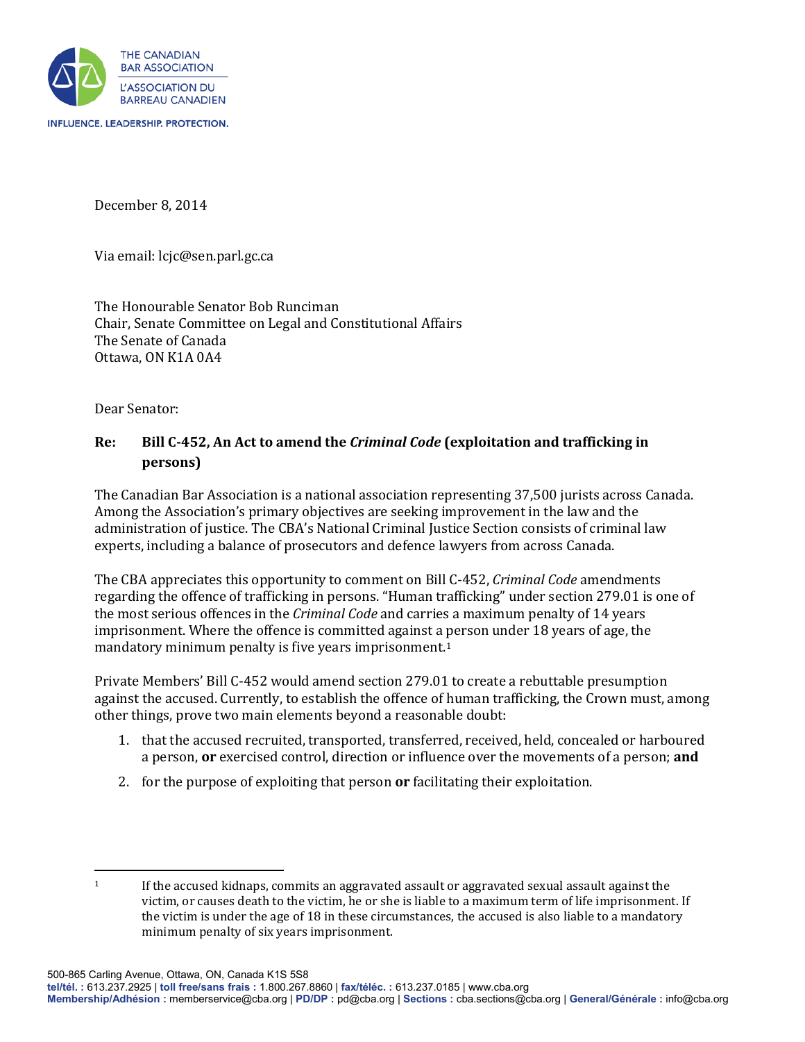

December 8, 2014

Via email: lcjc@sen.parl.gc.ca

The Honourable Senator Bob Runciman Chair, Senate Committee on Legal and Constitutional Affairs The Senate of Canada Ottawa, ON K1A 0A4

Dear Senator:

## **Re: Bill C-452, An Act to amend the** *Criminal Code* **(exploitation and trafficking in persons)**

The Canadian Bar Association is a national association representing 37,500 jurists across Canada. Among the Association's primary objectives are seeking improvement in the law and the administration of justice. The CBA's National Criminal Justice Section consists of criminal law experts, including a balance of prosecutors and defence lawyers from across Canada.

The CBA appreciates this opportunity to comment on Bill C-452, *Criminal Code* amendments regarding the offence of trafficking in persons. "Human trafficking" under section 279.01 is one of the most serious offences in the *Criminal Code* and carries a maximum penalty of 14 years imprisonment. Where the offence is committed against a [p](#page-0-0)erson under 18 years of age, the mandatory minimum penalty is five years imprisonment.<sup>1</sup>

Private Members' Bill C-452 would amend section 279.01 to create a rebuttable presumption against the accused. Currently, to establish the offence of human trafficking, the Crown must, among other things, prove two main elements beyond a reasonable doubt:

- 1. that the accused recruited, transported, transferred, received, held, concealed or harboured a person, **or** exercised control, direction or influence over the movements of a person; **and**
- 2. for the purpose of exploiting that person **or** facilitating their exploitation.

<span id="page-0-0"></span> $\overline{\phantom{a}}$  $1 \tI$  If the accused kidnaps, commits an aggravated assault or aggravated sexual assault against the victim, or causes death to the victim, he or she is liable to a maximum term of life imprisonment. If the victim is under the age of 18 in these circumstances, the accused is also liable to a mandatory minimum penalty of six years imprisonment.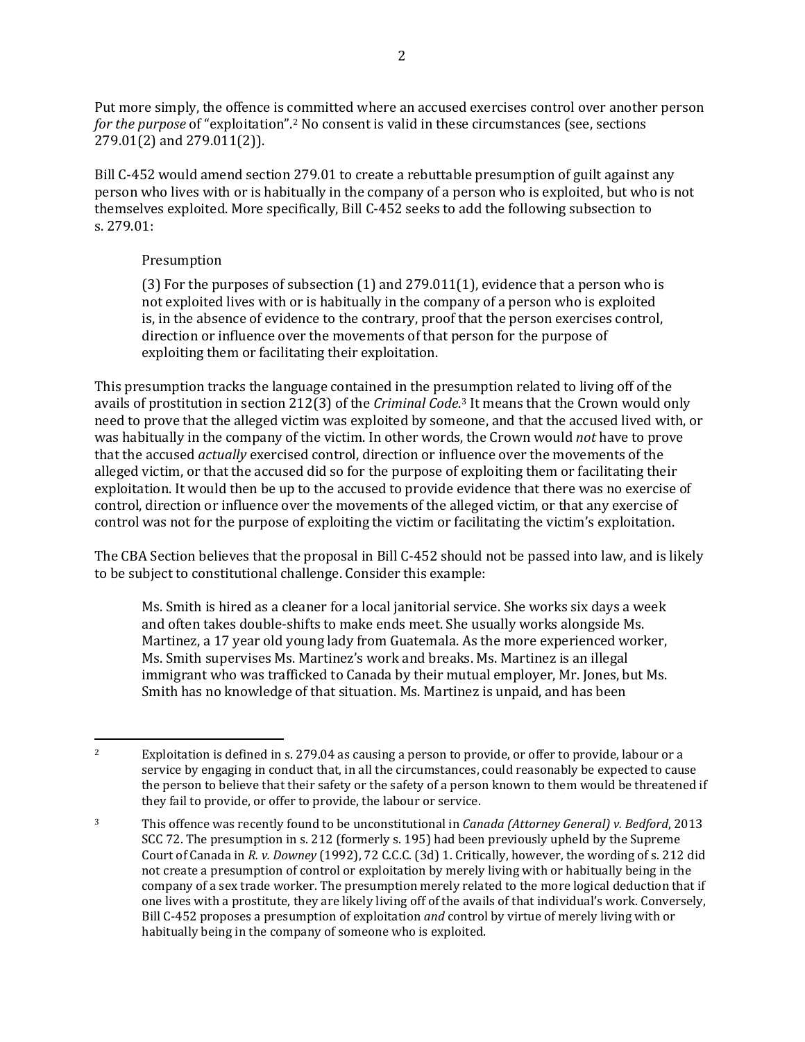Put more simply, the offence is committed where an accused exercises control over another person *for the purpose* of "exploitation".[2](#page-1-0) No consent is valid in these circumstances (see, sections 279.01(2) and 279.011(2)).

Bill C-452 would amend section 279.01 to create a rebuttable presumption of guilt against any person who lives with or is habitually in the company of a person who is exploited, but who is not themselves exploited. More specifically, Bill C-452 seeks to add the following subsection to s. 279.01:

## Presumption

 $\overline{\phantom{a}}$ 

(3) For the purposes of subsection (1) and 279.011(1), evidence that a person who is not exploited lives with or is habitually in the company of a person who is exploited is, in the absence of evidence to the contrary, proof that the person exercises control, direction or influence over the movements of that person for the purpose of exploiting them or facilitating their exploitation.

This presumption tracks the language contained in the presumption related to living off of the avails of prostitution in section 212(3) of the *Criminal Code*.[3](#page-1-1) It means that the Crown would only need to prove that the alleged victim was exploited by someone, and that the accused lived with, or was habitually in the company of the victim. In other words, the Crown would *not* have to prove that the accused *actually* exercised control, direction or influence over the movements of the alleged victim, or that the accused did so for the purpose of exploiting them or facilitating their exploitation. It would then be up to the accused to provide evidence that there was no exercise of control, direction or influence over the movements of the alleged victim, or that any exercise of control was not for the purpose of exploiting the victim or facilitating the victim's exploitation.

The CBA Section believes that the proposal in Bill C-452 should not be passed into law, and is likely to be subject to constitutional challenge. Consider this example:

Ms. Smith is hired as a cleaner for a local janitorial service. She works six days a week and often takes double-shifts to make ends meet. She usually works alongside Ms. Martinez, a 17 year old young lady from Guatemala. As the more experienced worker, Ms. Smith supervises Ms. Martinez's work and breaks. Ms. Martinez is an illegal immigrant who was trafficked to Canada by their mutual employer, Mr. Jones, but Ms. Smith has no knowledge of that situation. Ms. Martinez is unpaid, and has been

<span id="page-1-0"></span><sup>&</sup>lt;sup>2</sup> Exploitation is defined in s. 279.04 as causing a person to provide, or offer to provide, labour or a service by engaging in conduct that, in all the circumstances, could reasonably be expected to cause the person to believe that their safety or the safety of a person known to them would be threatened if they fail to provide, or offer to provide, the labour or service.

<span id="page-1-1"></span><sup>3</sup> This offence was recently found to be unconstitutional in *Canada (Attorney General) v. Bedford*, 2013 SCC 72. The presumption in s. 212 (formerly s. 195) had been previously upheld by the Supreme Court of Canada in *R. v. Downey* (1992), 72 C.C.C. (3d) 1. Critically, however, the wording of s. 212 did not create a presumption of control or exploitation by merely living with or habitually being in the company of a sex trade worker. The presumption merely related to the more logical deduction that if one lives with a prostitute, they are likely living off of the avails of that individual's work. Conversely, Bill C-452 proposes a presumption of exploitation *and* control by virtue of merely living with or habitually being in the company of someone who is exploited.